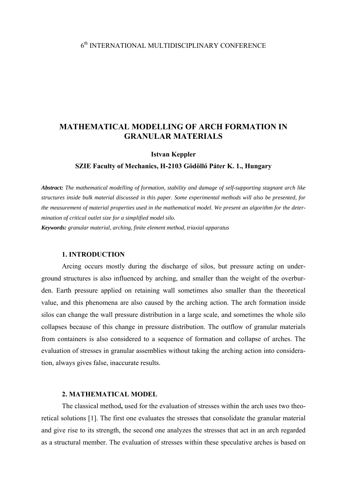# 6th INTERNATIONAL MULTIDISCIPLINARY CONFERENCE

# **MATHEMATICAL MODELLING OF ARCH FORMATION IN GRANULAR MATERIALS**

#### **Istvan Keppler**

#### **SZIE Faculty of Mechanics, H-2103 Gödöllő Páter K. 1., Hungary**

*Abstract: The mathematical modelling of formation, stability and damage of self-supporting stagnant arch like structures inside bulk material discussed in this paper. Some experimental methods will also be presented, for the measurement of material properties used in the mathematical model. We present an algorithm for the determination of critical outlet size for a simplified model silo.* 

*Keywords: granular material, arching, finite element method, triaxial apparatus* 

### **1. INTRODUCTION**

Arcing occurs mostly during the discharge of silos, but pressure acting on underground structures is also influenced by arching, and smaller than the weight of the overburden. Earth pressure applied on retaining wall sometimes also smaller than the theoretical value, and this phenomena are also caused by the arching action. The arch formation inside silos can change the wall pressure distribution in a large scale, and sometimes the whole silo collapses because of this change in pressure distribution. The outflow of granular materials from containers is also considered to a sequence of formation and collapse of arches. The evaluation of stresses in granular assemblies without taking the arching action into consideration, always gives false, inaccurate results.

### **2. MATHEMATICAL MODEL**

The classical method**,** used for the evaluation of stresses within the arch uses two theoretical solutions [1]. The first one evaluates the stresses that consolidate the granular material and give rise to its strength, the second one analyzes the stresses that act in an arch regarded as a structural member. The evaluation of stresses within these speculative arches is based on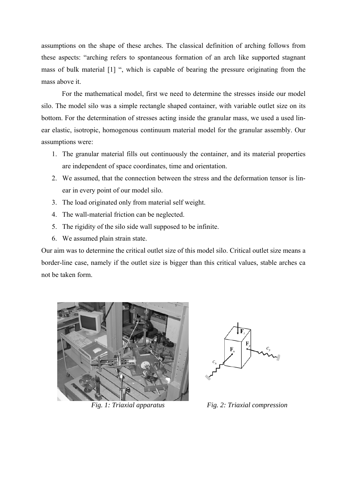assumptions on the shape of these arches. The classical definition of arching follows from these aspects: "arching refers to spontaneous formation of an arch like supported stagnant mass of bulk material [1] ", which is capable of bearing the pressure originating from the mass above it.

For the mathematical model, first we need to determine the stresses inside our model silo. The model silo was a simple rectangle shaped container, with variable outlet size on its bottom. For the determination of stresses acting inside the granular mass, we used a used linear elastic, isotropic, homogenous continuum material model for the granular assembly. Our assumptions were:

- 1. The granular material fills out continuously the container, and its material properties are independent of space coordinates, time and orientation.
- 2. We assumed, that the connection between the stress and the deformation tensor is linear in every point of our model silo.
- 3. The load originated only from material self weight.
- 4. The wall-material friction can be neglected.
- 5. The rigidity of the silo side wall supposed to be infinite.
- 6. We assumed plain strain state.

Our aim was to determine the critical outlet size of this model silo. Critical outlet size means a border-line case, namely if the outlet size is bigger than this critical values, stable arches ca not be taken form.





*Fig. 1: Triaxial apparatus Fig. 2: Triaxial compression*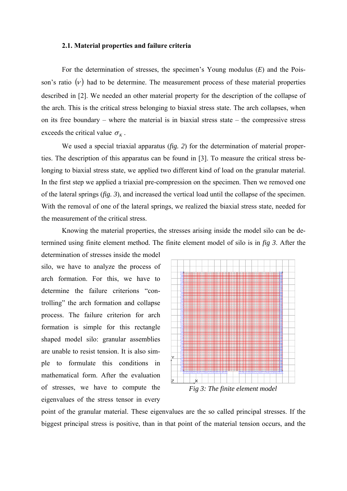#### **2.1. Material properties and failure criteria**

For the determination of stresses, the specimen's Young modulus (*E*) and the Poisson's ratio  $(v)$  had to be determine. The measurement process of these material properties described in [2]. We needed an other material property for the description of the collapse of the arch. This is the critical stress belonging to biaxial stress state. The arch collapses, when on its free boundary – where the material is in biaxial stress state – the compressive stress exceeds the critical value  $\sigma_K$ .

We used a special triaxial apparatus (*fig. 2*) for the determination of material properties. The description of this apparatus can be found in [3]. To measure the critical stress belonging to biaxial stress state, we applied two different kind of load on the granular material. In the first step we applied a triaxial pre-compression on the specimen. Then we removed one of the lateral springs (*fig. 3*), and increased the vertical load until the collapse of the specimen. With the removal of one of the lateral springs, we realized the biaxial stress state, needed for the measurement of the critical stress.

Knowing the material properties, the stresses arising inside the model silo can be determined using finite element method. The finite element model of silo is in *fig 3*. After the

determination of stresses inside the model silo, we have to analyze the process of arch formation. For this, we have to determine the failure criterions "controlling" the arch formation and collapse process. The failure criterion for arch formation is simple for this rectangle shaped model silo: granular assemblies are unable to resist tension. It is also simple to formulate this conditions in mathematical form. After the evaluation of stresses, we have to compute the eigenvalues of the stress tensor in every



point of the granular material. These eigenvalues are the so called principal stresses. If the biggest principal stress is positive, than in that point of the material tension occurs, and the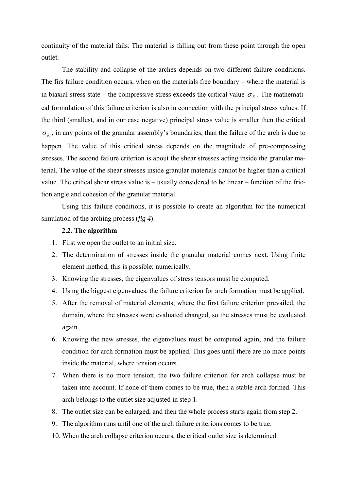continuity of the material fails. The material is falling out from these point through the open outlet.

The stability and collapse of the arches depends on two different failure conditions. The firs failure condition occurs, when on the materials free boundary – where the material is in biaxial stress state – the compressive stress exceeds the critical value  $\sigma_{K}$ . The mathematical formulation of this failure criterion is also in connection with the principal stress values. If the third (smallest, and in our case negative) principal stress value is smaller then the critical  $\sigma_K$ , in any points of the granular assembly's boundaries, than the failure of the arch is due to happen. The value of this critical stress depends on the magnitude of pre-compressing stresses. The second failure criterion is about the shear stresses acting inside the granular material. The value of the shear stresses inside granular materials cannot be higher than a critical value. The critical shear stress value is – usually considered to be linear – function of the friction angle and cohesion of the granular material.

Using this failure conditions, it is possible to create an algorithm for the numerical simulation of the arching process (*fig 4*).

### **2.2. The algorithm**

- 1. First we open the outlet to an initial size.
- 2. The determination of stresses inside the granular material comes next. Using finite element method, this is possible; numerically.
- 3. Knowing the stresses, the eigenvalues of stress tensors must be computed.
- 4. Using the biggest eigenvalues, the failure criterion for arch formation must be applied.
- 5. After the removal of material elements, where the first failure criterion prevailed, the domain, where the stresses were evaluated changed, so the stresses must be evaluated again.
- 6. Knowing the new stresses, the eigenvalues must be computed again, and the failure condition for arch formation must be applied. This goes until there are no more points inside the material, where tension occurs.
- 7. When there is no more tension, the two failure criterion for arch collapse must be taken into account. If none of them comes to be true, then a stable arch formed. This arch belongs to the outlet size adjusted in step 1.
- 8. The outlet size can be enlarged, and then the whole process starts again from step 2.
- 9. The algorithm runs until one of the arch failure criterions comes to be true.
- 10. When the arch collapse criterion occurs, the critical outlet size is determined.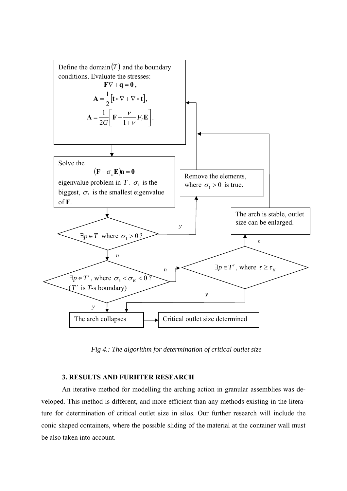

*Fig 4.: The algorithm for determination of critical outlet size* 

## **3. RESULTS AND FURHTER RESEARCH**

An iterative method for modelling the arching action in granular assemblies was developed. This method is different, and more efficient than any methods existing in the literature for determination of critical outlet size in silos. Our further research will include the conic shaped containers, where the possible sliding of the material at the container wall must be also taken into account.